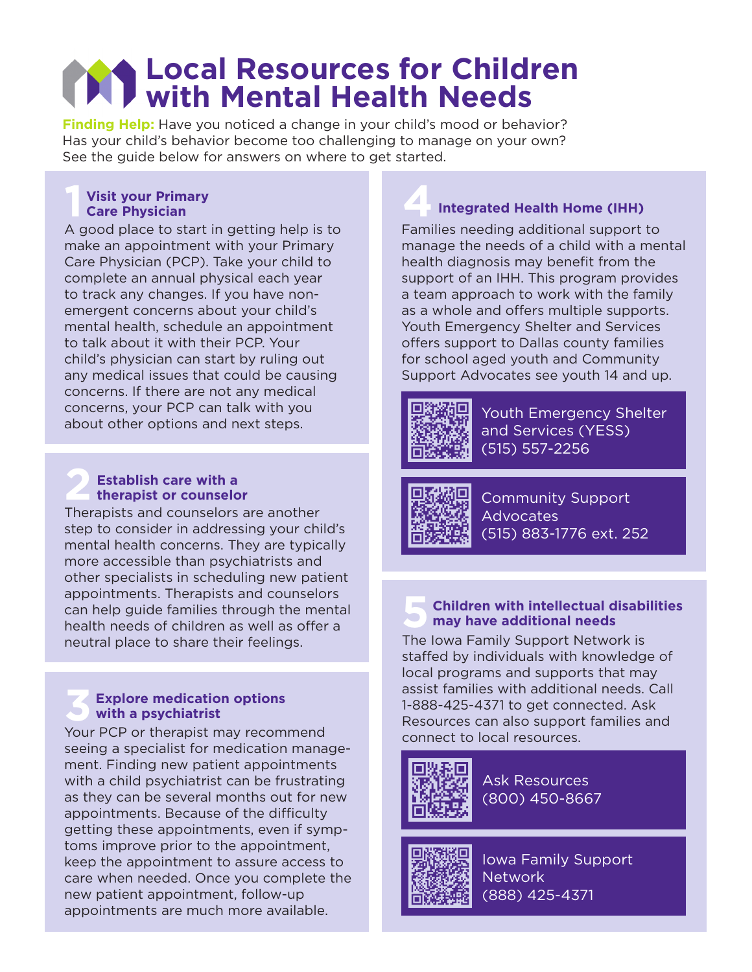# **Local Resources for Children with Mental Health Needs**

**Finding Help:** Have you noticed a change in your child's mood or behavior? Has your child's behavior become too challenging to manage on your own? See the guide below for answers on where to get started.

#### **1 Visit your Primary Care Physician**

A good place to start in getting help is to make an appointment with your Primary Care Physician (PCP). Take your child to complete an annual physical each year to track any changes. If you have nonemergent concerns about your child's mental health, schedule an appointment to talk about it with their PCP. Your child's physician can start by ruling out any medical issues that could be causing concerns. If there are not any medical concerns, your PCP can talk with you about other options and next steps.

#### **2 Establish care with a therapist or counselor**

Therapists and counselors are another step to consider in addressing your child's mental health concerns. They are typically more accessible than psychiatrists and other specialists in scheduling new patient appointments. Therapists and counselors can help guide families through the mental health needs of children as well as offer a neutral place to share their feelings.

#### **3 Explore medication options with a psychiatrist**

Your PCP or therapist may recommend seeing a specialist for medication management. Finding new patient appointments with a child psychiatrist can be frustrating as they can be several months out for new appointments. Because of the difficulty getting these appointments, even if symptoms improve prior to the appointment, keep the appointment to assure access to care when needed. Once you complete the new patient appointment, follow-up appointments are much more available.

### **4Integrated Health Home (IHH)**

Families needing additional support to manage the needs of a child with a mental health diagnosis may benefit from the support of an IHH. This program provides a team approach to work with the family as a whole and offers multiple supports. Youth Emergency Shelter and Services offers support to Dallas county families for school aged youth and Community Support Advocates see youth 14 and up.



Youth Emergency Shelter and Services (YESS) (515) 557-2256



Community Support Advocates (515) 883-1776 ext. 252

#### **5 Children with intellectual disabilities may have additional needs**

The Iowa Family Support Network is staffed by individuals with knowledge of local programs and supports that may assist families with additional needs. Call 1-888-425-4371 to get connected. Ask Resources can also support families and connect to local resources.



Ask Resources (800) 450-8667



Iowa Family Support Network (888) 425-4371